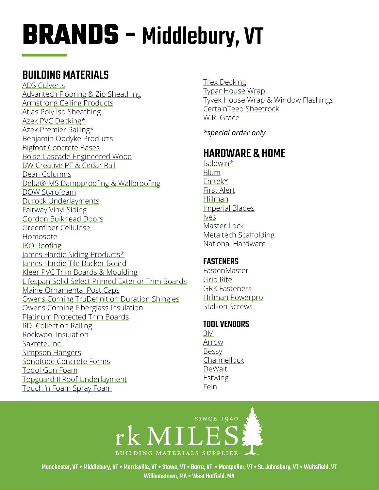# **BRANDS -** Middlebury, VT

## BUILDING MATERIALS

[ADS Culverts](http://www.ads-pipe.com/en/application.asp?applicationID=23) [Advantech Flooring & Zip Sheathing](https://www.huberwood.com/)  [Armstrong Ceiling Products](http://www.armstrongceilings.com/residential/en-us/) [Atlas Poly Iso Sheathing](http://www.atlasroofing.com/general2.php?section_url=2)  [Azek PVC Decking\\*](https://www.timbertech.com/azek-decking) [Azek Premier Railing](https://www.timbertech.com/azek-railing)\* [Benjamin Obdyke Products](http://www.benjaminobdyke.com/)  [Bigfoot Concrete Bases](http://www.bigfootsystems.com/) [Boise Cascade Engineered Wood](https://www.bc.com/ewp/) [BW Creative PT & Cedar Rail](http://www.bwcreativewood.com/exterior-railing-products.asp)  [Dean Columns](http://www.deancolumn.com/) [Delta®-MS Dampproofing & Wallproofing](http://www.cosella-dorken.com/bvf-ca-en/products/foundation_residential/dimplesheets/products/ms.php) [DOW Styrofoam](http://building.dow.com/na/en/products/insulation/rigidfoam.htm)  [Durock Underlayments](http://www.usg.com/durock-cement-board.html)  [Fairway Vinyl Siding](https://www.fairwaywholesale.com/fairway) [Gordon Bulkhead Doors](http://www.gordoncelladoor.com/) [Greenfiber Cellulose](https://www.greenfiber.com/) [Homosote](http://www.homasote.com/)  [IKO Roofing](http://www.iko.com/us/) [James Hardie Siding Products\\*](http://www.jameshardie.com/homeowner/siding.shtml)  [James Hardie Tile Backer Board](https://www.jameshardie.com/products/hardiebacker-cement-board) [Kleer PVC Trim Boards & Moulding](https://kleerlumber.com/) [Lifespan Solid Select Primed Exterior Trim Boards](http://www.lifespansolidselect.com/) [Maine Ornamental Post Caps](https://www.deckorators.com/products/post-caps/) [Owens Corning TruDefinition Duration Shingles](https://www.owenscorning.com/roofing/shingles/trudefinition-duration) [Owens Corning Fiberglass Insulation](https://www.owenscorning.com/insulation) [Platinum Protected Trim Boards](https://www.gardenstatelumber.com/products-programs/s4s-boards/) [RDI Collection Railing](https://www.barretteoutdoorliving.com/product/rdi-collection-titan-pro-rail-vinyl-railing-kit) [Rockwool Insulation](https://www.rockwool.com/)  [Sakrete, Inc.](http://www.sakrete.com/) [Simpson Hangers](http://www.strongtie.com/)  [Sonotube Concrete Forms](http://sonotube.com/products/sonotubeconcreteforms.aspx)  [Todol Gun Foam](http://www.todol.com/) [Topguard II Roof Underlaymen](http://www.rooftopguard.com/en/home.html)t [Touch 'n Foam Spray Foam](http://www.touch-n-foam.com/index.php) 

[Trex Decking](http://www.trex.com/)  [Typar House Wrap](http://www.typar.com/products/typar-buildingwrap/) [Tyvek House Wrap & Window Flashings](https://www.dupont.com/products/tyvek-homewrap-superior-house-wrap.html) [CertainTeed Sheetrock](https://www.certainteed.com/drywall/)  [W.R. Grace](http://www.grace.com/)

*\*special order only*

## HARDWARE & HOM[E](http://www.ashleynorton.com/)

[Baldwin\\*](http://www.baldwinhardware.com/) **[Blum](http://www.blum.com/us/en/index.php)** [Emtek](http://www.emtekproducts.com/)\* [First Alert](http://www.firstalert.com/) [Hillman](https://hillmangroup.com/) [Imperial Blades](https://imperialblades.com/) [Ives](https://us.allegion.com/en/home/products/brands/ives.html) [Master Lock](http://www.masterlock.com/) [Metaltech Scaffolding](https://www.metaltech.co/) [National Hardware](http://www.natman.com/)

#### **FASTENERS**

[FastenMaster](https://www.fastenmaster.com/)  [Grip Rite](https://www.grip-rite.com/) [GRK Fasteners](https://www.grkfasteners.com/) [Hillman Powerpro](http://wedo.hillmangroup.com/viewitems/wood/power-pro-all-purpose-wood-screw-star-drive) Stallion Screws

#### TOOL VENDORS

[3M](http://solutions.3m.com/en_US/) [Arrow](https://www.arrowfastener.com/)  [Bessy](https://www.bessey.de/en-US/BESSEY-Tools-North-America) **[Channellock](http://www.channellock.com/)** [DeWalt](https://www.dewalt.com/) [Estwing](http://www.estwing.com/) [Fein](https://fein.com/en_us/)



Manchester, VT • Middlebury, VT • Morrisville, VT • Stowe, VT • Barre, VT • Montpelier, VT • St. Johnsbury, VT • Waitsfield, VT Williamstown, MA • West Hatfield, MA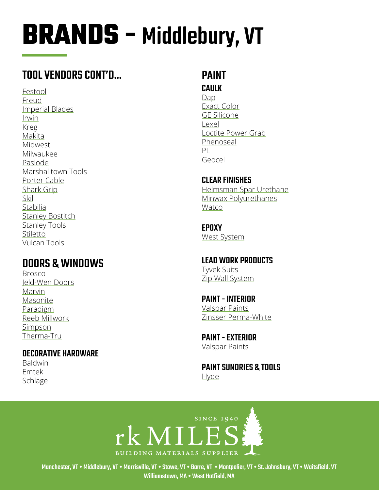# **BRANDS - Middlebury, VT**

## TOOL VENDORS CONT'D...

Festool Freud **Imperial Blades** Irwin **Kreg** Makita Midwest Milwaukee Paslode Marshalltown Tools Porter Cable Shark Grip Skil Stabilia **Stanley Bostitch Stanley Tools** Stiletto **Vulcan Tools** 

### **DOORS & WINDOWS**

**Brosco** Jeld-Wen Doors Marvin Masonite Paradigm Reeb Millwork Simpson Therma-Tru

#### **DECORATIVE HARDWARE**

**Baldwin** Emtek Schlage

#### **PAINT CAULK**

Dap **Exact Color GE Silicone**  $|QXQ|$ Loctite Power Grab Phenoseal  $PL$ Geocel

**CLEAR FINISHES** Helmsman Spar Urethane Minwax Polyurethanes Watco

**EPOXY West System** 

**LEAD WORK PRODUCTS Tyvek Suits** Zip Wall System

**PAINT - INTERIOR Valspar Paints** Zinsser Perma-White

**PAINT - EXTERIOR Valspar Paints** 

**PAINT SUNDRIES & TOOLS** Hyde



Manchester, VT • Middlebury, VT • Morrisville, VT • Stowe, VT • Barre, VT • Montpelier, VT • St. Johnsbury, VT • Waitsfield, VT Williamstown, MA . West Hatfield, MA